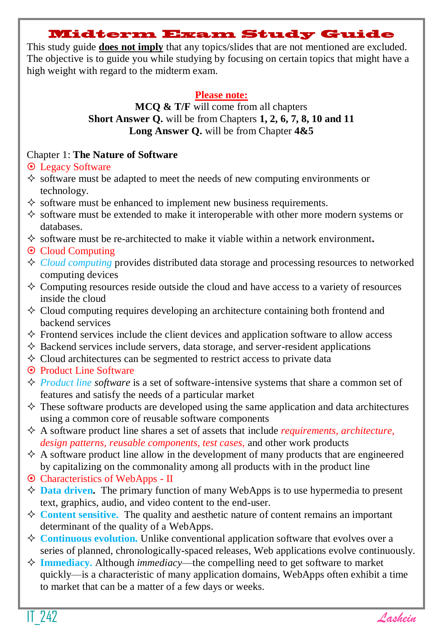### **Midterm Exam Study Guide**

This study guide **does not imply** that any topics/slides that are not mentioned are excluded. The objective is to guide you while studying by focusing on certain topics that might have a high weight with regard to the midterm exam.

#### **Please note:**

#### **MCQ & T/F** will come from all chapters **Short Answer Q.** will be from Chapters **1, 2, 6, 7, 8, 10 and 11 Long Answer Q.** will be from Chapter **4&5**

#### Chapter 1: **The Nature of Software**

Legacy Software

- $\Diamond$  software must be adapted to meet the needs of new computing environments or technology.
- $\diamond$  software must be enhanced to implement new business requirements.
- $\Diamond$  software must be extended to make it interoperable with other more modern systems or databases.
- $\Diamond$  software must be re-architected to make it viable within a network environment.

 $\odot$  Cloud Computing

- *Cloud computing* provides distributed data storage and processing resources to networked computing devices
- $\Diamond$  Computing resources reside outside the cloud and have access to a variety of resources inside the cloud
- $\Diamond$  Cloud computing requires developing an architecture containing both frontend and backend services
- $\Diamond$  Frontend services include the client devices and application software to allow access
- $\Diamond$  Backend services include servers, data storage, and server-resident applications
- $\Diamond$  Cloud architectures can be segmented to restrict access to private data
- **⊙** Product Line Software
- *Product line software* is a set of software-intensive systems that share a common set of features and satisfy the needs of a particular market
- $\Diamond$  These software products are developed using the same application and data architectures using a common core of reusable software components
- A software product line shares a set of assets that include *requirements, architecture, design patterns, reusable components, test cases,* and other work products
- $\Diamond$  A software product line allow in the development of many products that are engineered by capitalizing on the commonality among all products with in the product line
- Characteristics of WebApps II
- **Data driven.** The primary function of many WebApps is to use hypermedia to present text, graphics, audio, and video content to the end-user.
- **Content sensitive.** The quality and aesthetic nature of content remains an important determinant of the quality of a WebApps.
- $\diamond$  **Continuous evolution.** Unlike conventional application software that evolves over a series of planned, chronologically-spaced releases, Web applications evolve continuously.
- **Immediacy.** Although *immediacy*—the compelling need to get software to market quickly—is a characteristic of many application domains, WebApps often exhibit a time to market that can be a matter of a few days or weeks.

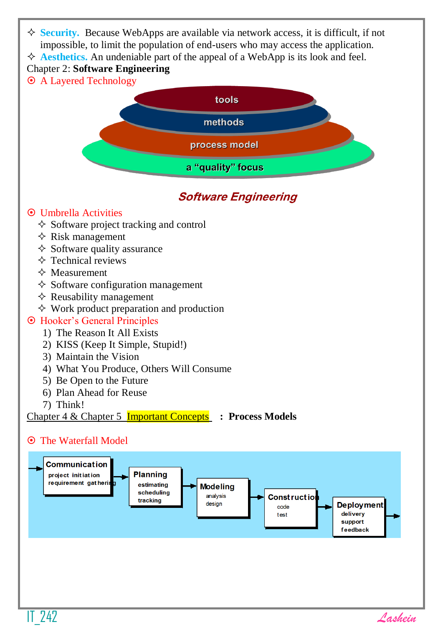

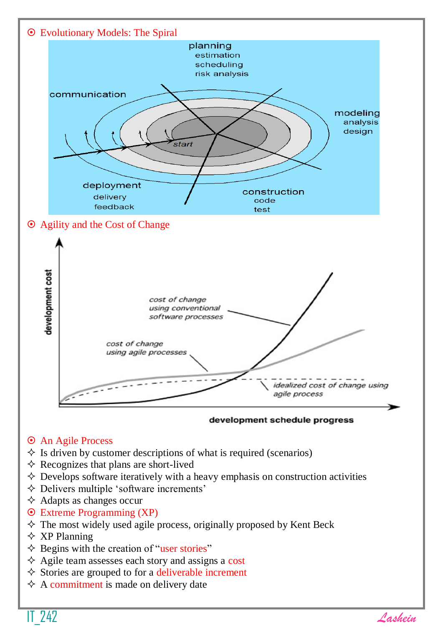

#### development schedule progress

#### An Agile Process

- $\Diamond$  Is driven by customer descriptions of what is required (scenarios)
- $\Diamond$  Recognizes that plans are short-lived
- $\Diamond$  Develops software iteratively with a heavy emphasis on construction activities
- Delivers multiple 'software increments'
- $\Diamond$  Adapts as changes occur
- Extreme Programming (XP)
- $\diamond$  The most widely used agile process, originally proposed by Kent Beck
- $\Diamond$  XP Planning
- $\Diamond$  Begins with the creation of "user stories"
- $\Diamond$  Agile team assesses each story and assigns a cost
- $\Diamond$  Stories are grouped to for a deliverable increment
- $\Diamond$  A commitment is made on delivery date

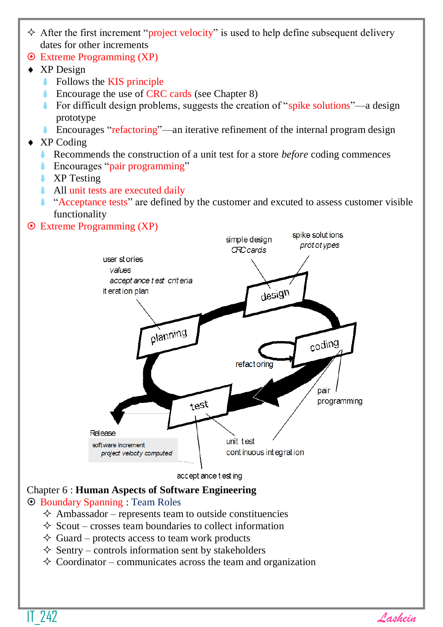- $\Diamond$  After the first increment "project velocity" is used to help define subsequent delivery dates for other increments
- Extreme Programming (XP)
- ◆ XP Design
	- $\textcolor{red}{\bullet}$  Follows the KIS principle
	- $\frac{1}{2}$  Encourage the use of CRC cards (see Chapter 8)
	- $\text{\text{*}}$  For difficult design problems, suggests the creation of "spike solutions"—a design prototype
	- $\frac{*}{*}$  Encourages "refactoring"—an iterative refinement of the internal program design

## ◆ XP Coding

- ⸙ Recommends the construction of a unit test for a store *before* coding commences
- **Encourages "pair programming"**
- **≹** XP Testing
- **EXECUTE:** All unit tests are executed daily
- ⸙ "Acceptance tests" are defined by the customer and excuted to assess customer visible functionality

### Extreme Programming (XP)



accept ance t est ing

# Chapter 6 : **Human Aspects of Software Engineering**

### Boundary Spanning : Team Roles

- $\Diamond$  Ambassador represents team to outside constituencies
- $\Diamond$  Scout crosses team boundaries to collect information
- $\Diamond$  Guard protects access to team work products
- $\Diamond$  Sentry controls information sent by stakeholders
- $\Diamond$  Coordinator communicates across the team and organization

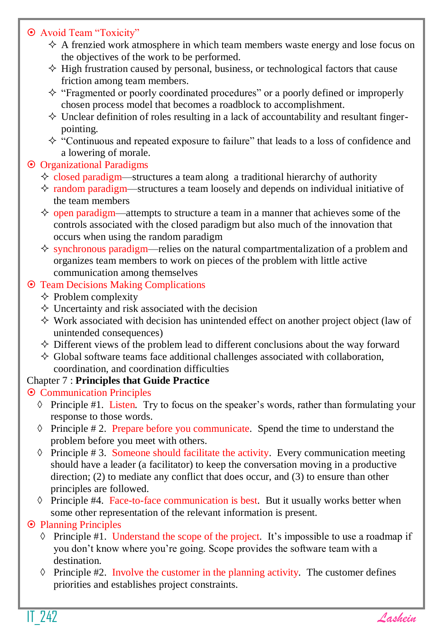### Avoid Team "Toxicity"

- $\Diamond$  A frenzied work atmosphere in which team members waste energy and lose focus on the objectives of the work to be performed.
- $\Diamond$  High frustration caused by personal, business, or technological factors that cause friction among team members.
- $\Diamond$  "Fragmented or poorly coordinated procedures" or a poorly defined or improperly chosen process model that becomes a roadblock to accomplishment.
- $\diamond$  Unclear definition of roles resulting in a lack of accountability and resultant fingerpointing.
- $\Diamond$  "Continuous and repeated exposure to failure" that leads to a loss of confidence and a lowering of morale.

### Organizational Paradigms

- $\Diamond$  closed paradigm—structures a team along a traditional hierarchy of authority
- $\Diamond$  random paradigm—structures a team loosely and depends on individual initiative of the team members
- $\Diamond$  open paradigm—attempts to structure a team in a manner that achieves some of the controls associated with the closed paradigm but also much of the innovation that occurs when using the random paradigm
- $\Diamond$  synchronous paradigm—relies on the natural compartmentalization of a problem and organizes team members to work on pieces of the problem with little active communication among themselves

### Team Decisions Making Complications

- $\Diamond$  Problem complexity
- $\Diamond$  Uncertainty and risk associated with the decision
- $\Diamond$  Work associated with decision has unintended effect on another project object (law of unintended consequences)
- $\Diamond$  Different views of the problem lead to different conclusions about the way forward
- $\Diamond$  Global software teams face additional challenges associated with collaboration, coordination, and coordination difficulties

### Chapter 7 : **Principles that Guide Practice**

### $\odot$  Communication Principles

- ◊ Principle #1. Listen*.* Try to focus on the speaker's words, rather than formulating your response to those words.
- ◊ Principle # 2. Prepare before you communicate*.* Spend the time to understand the problem before you meet with others.
- $\Diamond$  Principle #3. Someone should facilitate the activity. Every communication meeting should have a leader (a facilitator) to keep the conversation moving in a productive direction; (2) to mediate any conflict that does occur, and (3) to ensure than other principles are followed.
- ◊ Principle #4. Face-to-face communication is best*.* But it usually works better when some other representation of the relevant information is present.

# $\odot$  Planning Principles

- ◊ Principle #1. Understand the scope of the project*.* It's impossible to use a roadmap if you don't know where you're going. Scope provides the software team with a destination.
- ◊ Principle #2. Involve the customer in the planning activity*.* The customer defines priorities and establishes project constraints.

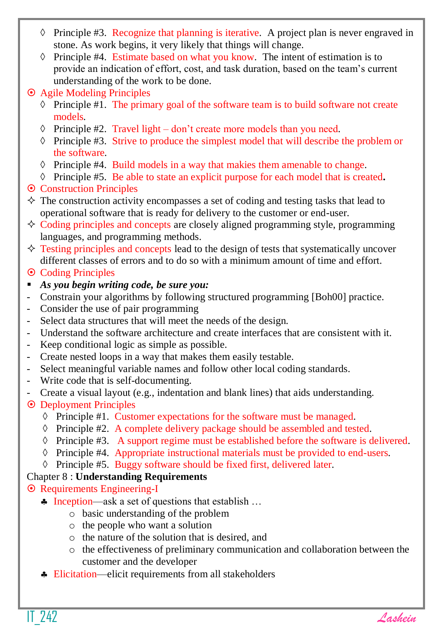- ◊ Principle #3. Recognize that planning is iterative*.* A project plan is never engraved in stone. As work begins, it very likely that things will change.
- ◊ Principle #4. Estimate based on what you know*.* The intent of estimation is to provide an indication of effort, cost, and task duration, based on the team's current understanding of the work to be done.
- Agile Modeling Principles
	- ◊ Principle #1. The primary goal of the software team is to build software not create models*.*
	- ◊ Principle #2. Travel light don't create more models than you need*.*
	- ◊ Principle #3. Strive to produce the simplest model that will describe the problem or the software*.*
	- ◊ Principle #4. Build models in a way that makies them amenable to change*.*
	- ◊ Principle #5. Be able to state an explicit purpose for each model that is created*.*
- $\odot$  Construction Principles
- $\Diamond$  The construction activity encompasses a set of coding and testing tasks that lead to operational software that is ready for delivery to the customer or end-user.
- $\Diamond$  Coding principles and concepts are closely aligned programming style, programming languages, and programming methods.
- $\Diamond$  Testing principles and concepts lead to the design of tests that systematically uncover different classes of errors and to do so with a minimum amount of time and effort.
- $\odot$  Coding Principles
- *As you begin writing code, be sure you:*
- Constrain your algorithms by following structured programming [Boh00] practice.
- Consider the use of pair programming
- Select data structures that will meet the needs of the design.
- Understand the software architecture and create interfaces that are consistent with it.
- Keep conditional logic as simple as possible.
- Create nested loops in a way that makes them easily testable.
- Select meaningful variable names and follow other local coding standards.
- Write code that is self-documenting.
- Create a visual layout (e.g., indentation and blank lines) that aids understanding.
- Deployment Principles
	- ◊ Principle #1. Customer expectations for the software must be managed*.*
	- ◊ Principle #2. A complete delivery package should be assembled and tested*.*
	- ◊ Principle #3. A support regime must be established before the software is delivered*.*
	- ◊ Principle #4. Appropriate instructional materials must be provided to end-users*.*
	- ◊ Principle #5. Buggy software should be fixed first, delivered later*.*

# Chapter 8 : **Understanding Requirements**

- Requirements Engineering-I
	- $\triangle$  Inception—ask a set of questions that establish ...
		- o basic understanding of the problem
		- o the people who want a solution
		- o the nature of the solution that is desired, and
		- o the effectiveness of preliminary communication and collaboration between the customer and the developer
	- **← Elicitation—elicit requirements from all stakeholders**

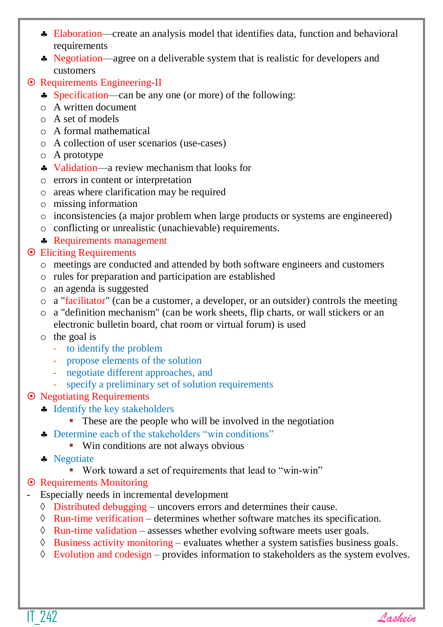- Elaboration—create an analysis model that identifies data, function and behavioral requirements
- Negotiation—agree on a deliverable system that is realistic for developers and customers
- Requirements Engineering-II
	- Specification—can be any one (or more) of the following:
	- o A written document
	- o A set of models
	- o A formal mathematical
	- o A collection of user scenarios (use-cases)
	- o A prototype
	- Validation—a review mechanism that looks for
	- o errors in content or interpretation
	- o areas where clarification may be required
	- o missing information
	- o inconsistencies (a major problem when large products or systems are engineered)
	- o conflicting or unrealistic (unachievable) requirements.
	- \* Requirements management

### Eliciting Requirements

- o meetings are conducted and attended by both software engineers and customers
- o rules for preparation and participation are established
- o an agenda is suggested
- o a "facilitator" (can be a customer, a developer, or an outsider) controls the meeting
- o a "definition mechanism" (can be work sheets, flip charts, or wall stickers or an electronic bulletin board, chat room or virtual forum) is used
- o the goal is
	- to identify the problem
	- propose elements of the solution
	- negotiate different approaches, and
	- specify a preliminary set of solution requirements
- Negotiating Requirements
	- Identify the key stakeholders
		- These are the people who will be involved in the negotiation
	- Determine each of the stakeholders "win conditions"
		- Win conditions are not always obvious
	- \* Negotiate
		- Work toward a set of requirements that lead to "win-win"
- $\odot$  Requirements Monitoring
- Especially needs in incremental development
	- ◊ Distributed debugging uncovers errors and determines their cause.
	- $\Diamond$  Run-time verification determines whether software matches its specification.
	- $\Diamond$  Run-time validation assesses whether evolving software meets user goals.
	- $\Diamond$  Business activity monitoring evaluates whether a system satisfies business goals.
	- $\Diamond$  Evolution and codesign provides information to stakeholders as the system evolves.

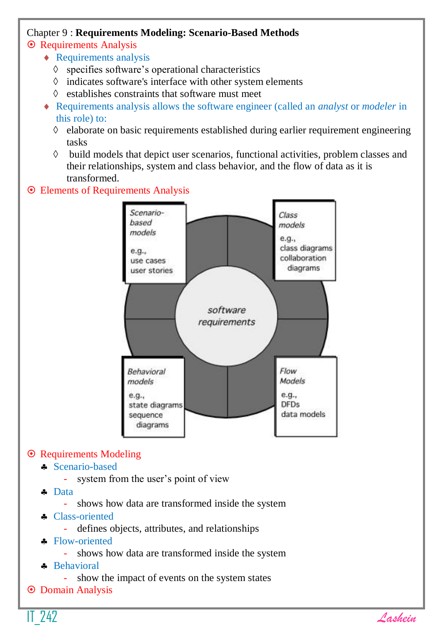#### Chapter 9 : **Requirements Modeling: Scenario-Based Methods**

#### **⊙** Requirements Analysis

- ◆ Requirements analysis
	- $\Diamond$  specifies software's operational characteristics
	- $\Diamond$  indicates software's interface with other system elements
	- $\Diamond$  establishes constraints that software must meet
- Requirements analysis allows the software engineer (called an *analyst* or *modeler* in this role) to:
	- ◊ elaborate on basic requirements established during earlier requirement engineering tasks
	- ◊ build models that depict user scenarios, functional activities, problem classes and their relationships, system and class behavior, and the flow of data as it is transformed.

#### Elements of Requirements Analysis



### **⊙** Requirements Modeling

- Scenario-based
	- system from the user's point of view
- **←** Data
	- shows how data are transformed inside the system
- **A** Class-oriented
	- defines objects, attributes, and relationships
- \* Flow-oriented
	- shows how data are transformed inside the system
- **\*** Behavioral
	- show the impact of events on the system states
- Domain Analysis

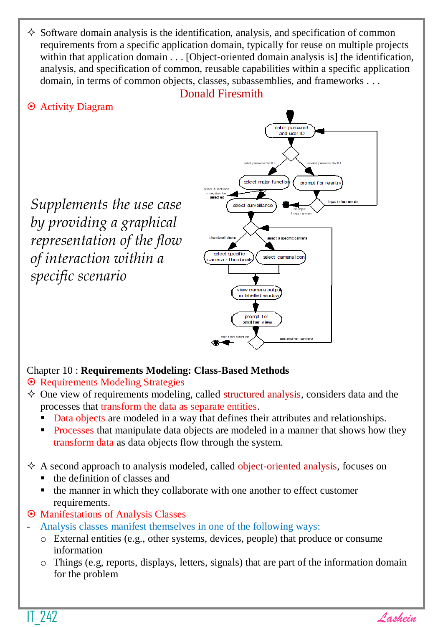$\Diamond$  Software domain analysis is the identification, analysis, and specification of common requirements from a specific application domain, typically for reuse on multiple projects within that application domain . . . [Object-oriented domain analysis is] the identification, analysis, and specification of common, reusable capabilities within a specific application domain, in terms of common objects, classes, subassemblies, and frameworks . . .

#### Donald Firesmith

Activity Diagram

*Supplements the use case by providing a graphical representation of the flow of interaction within a specific scenario*



#### Chapter 10 : **Requirements Modeling: Class-Based Methods**

- Requirements Modeling Strategies
- One view of requirements modeling, called structured analysis*,* considers data and the processes that transform the data as separate entities.
	- Data objects are modeled in a way that defines their attributes and relationships.
	- **Processes that manipulate data objects are modeled in a manner that shows how they** transform data as data objects flow through the system.

A second approach to analysis modeled, called object-oriented analysis*,* focuses on

- $\blacksquare$  the definition of classes and
- $\blacksquare$  the manner in which they collaborate with one another to effect customer requirements.
- Manifestations of Analysis Classes
- Analysis classes manifest themselves in one of the following ways:
	- o External entities (e.g., other systems, devices, people) that produce or consume information
	- o Things (e.g, reports, displays, letters, signals) that are part of the information domain for the problem

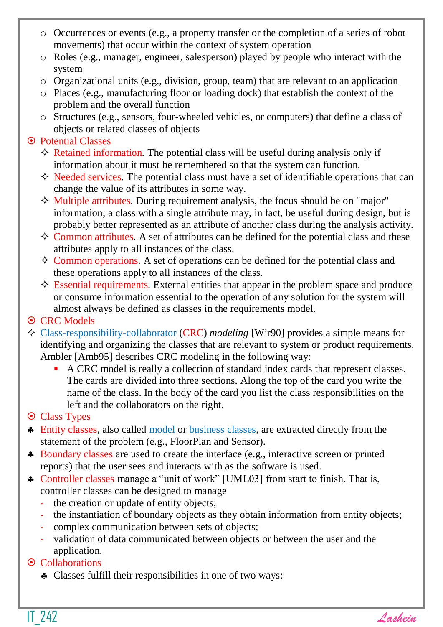- o Occurrences or events (e.g., a property transfer or the completion of a series of robot movements) that occur within the context of system operation
- o Roles (e.g., manager, engineer, salesperson) played by people who interact with the system
- o Organizational units (e.g., division, group, team) that are relevant to an application
- o Places (e.g., manufacturing floor or loading dock) that establish the context of the problem and the overall function
- o Structures (e.g., sensors, four-wheeled vehicles, or computers) that define a class of objects or related classes of objects

# **⊙** Potential Classes

- $\Diamond$  Retained information. The potential class will be useful during analysis only if information about it must be remembered so that the system can function.
- $\Diamond$  Needed services. The potential class must have a set of identifiable operations that can change the value of its attributes in some way.
- $\Diamond$  Multiple attributes. During requirement analysis, the focus should be on "major" information; a class with a single attribute may, in fact, be useful during design, but is probably better represented as an attribute of another class during the analysis activity.
- $\Diamond$  Common attributes. A set of attributes can be defined for the potential class and these attributes apply to all instances of the class.
- $\Diamond$  Common operations. A set of operations can be defined for the potential class and these operations apply to all instances of the class.
- Essential requirements*.* External entities that appear in the problem space and produce or consume information essential to the operation of any solution for the system will almost always be defined as classes in the requirements model.
- **⊙** CRC Models
- Class-responsibility-collaborator (CRC) *modeling* [Wir90] provides a simple means for identifying and organizing the classes that are relevant to system or product requirements. Ambler [Amb95] describes CRC modeling in the following way:
	- A CRC model is really a collection of standard index cards that represent classes. The cards are divided into three sections. Along the top of the card you write the name of the class. In the body of the card you list the class responsibilities on the left and the collaborators on the right.
- **⊙** Class Types
- Entity classes, also called model or business classes, are extracted directly from the statement of the problem (e.g., FloorPlan and Sensor).
- Boundary classes are used to create the interface (e.g., interactive screen or printed reports) that the user sees and interacts with as the software is used.
- Controller classes manage a "unit of work" [UML03] from start to finish. That is, controller classes can be designed to manage
	- the creation or update of entity objects;
	- the instantiation of boundary objects as they obtain information from entity objects;
	- complex communication between sets of objects;
	- validation of data communicated between objects or between the user and the application.
- **⊙** Collaborations
	- Classes fulfill their responsibilities in one of two ways:

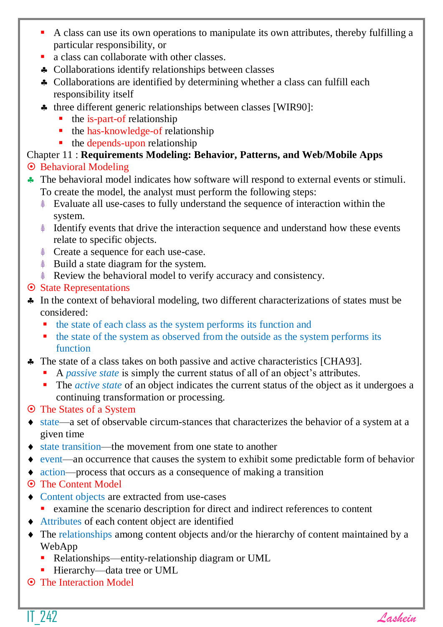- A class can use its own operations to manipulate its own attributes, thereby fulfilling a particular responsibility, or
- a class can collaborate with other classes.
- Collaborations identify relationships between classes
- Collaborations are identified by determining whether a class can fulfill each responsibility itself
- three different generic relationships between classes [WIR90]:
	- $\blacksquare$  the is-part-of relationship
	- $\blacksquare$  the has-knowledge-of relationship
	- $\blacksquare$  the depends-upon relationship

# Chapter 11 : **Requirements Modeling: Behavior, Patterns, and Web/Mobile Apps**

# **☉** Behavioral Modeling

- The behavioral model indicates how software will respond to external events or stimuli. To create the model, the analyst must perform the following steps:
	- ⸙ Evaluate all use-cases to fully understand the sequence of interaction within the system.
	- **EXECUTE:** Identify events that drive the interaction sequence and understand how these events relate to specific objects.
	- **EXECT** Create a sequence for each use-case.
	- ⸙ Build a state diagram for the system.
	- ⸙ Review the behavioral model to verify accuracy and consistency.

# **☉** State Representations

- In the context of behavioral modeling, two different characterizations of states must be considered:
	- $\blacksquare$  the state of each class as the system performs its function and
	- the state of the system as observed from the outside as the system performs its function
- The state of a class takes on both passive and active characteristics [CHA93].
	- A *passive state* is simply the current status of all of an object's attributes.
	- The *active state* of an object indicates the current status of the object as it undergoes a continuing transformation or processing.

# The States of a System

- state—a set of observable circum-stances that characterizes the behavior of a system at a given time
- state transition—the movement from one state to another
- event—an occurrence that causes the system to exhibit some predictable form of behavior
- action—process that occurs as a consequence of making a transition

# **⊙** The Content Model

- Content objects are extracted from use-cases
	- examine the scenario description for direct and indirect references to content
- Attributes of each content object are identified
- The relationships among content objects and/or the hierarchy of content maintained by a WebApp
	- Relationships—entity-relationship diagram or UML
	- Hierarchy—data tree or UML
- The Interaction Model